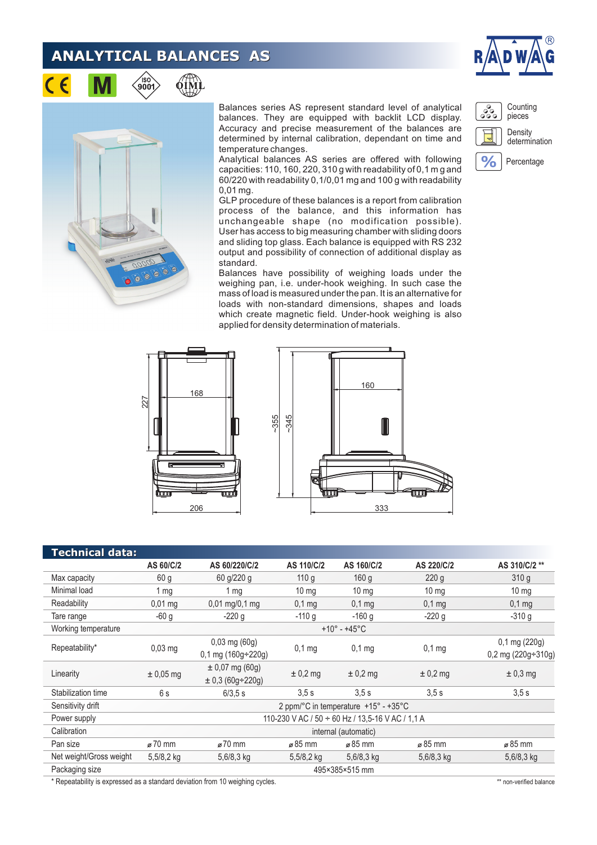## **ANALYTICAL BALANCES AS**

∕iso`<br>900'





Balances series AS represent standard level of analytical balances. They are equipped with backlit LCD display. Accuracy and precise measurement of the balances are determined by internal calibration, dependant on time and temperature changes.

Analytical balances AS series are offered with following capacities: 110, 160, 220, 310 g with readability of 0,1 m g and 60/220 with readability 0,1/0,01 mg and 100 g with readability 0,01 mg.

GLP procedure of these balances is a report from calibration process of the balance, and this information has unchangeable shape (no modification possible). User has access to big measuring chamber with sliding doors and sliding top glass. Each balance is equipped with RS 232 output and possibility of connection of additional display as standard.

Balances have possibility of weighing loads under the weighing pan, i.e. under-hook weighing. In such case the mass of load is measured under the pan. It is an alternative for loads with non-standard dimensions, shapes and loads which create magnetic field. Under-hook weighing is also applied for density determination of materials.







|                                                                               | 227                                              | $-355$<br>206                               | $-345$<br>mm      | 0<br>333          | णाणा             |                                            |
|-------------------------------------------------------------------------------|--------------------------------------------------|---------------------------------------------|-------------------|-------------------|------------------|--------------------------------------------|
| <b>Technical data:</b>                                                        |                                                  |                                             |                   |                   |                  |                                            |
|                                                                               | AS 60/C/2                                        | AS 60/220/C/2                               | <b>AS 110/C/2</b> | AS 160/C/2        | AS 220/C/2       | AS 310/C/2 **                              |
| Max capacity                                                                  | 60 <sub>g</sub>                                  | 60 g/220 g                                  | 110 g             | 160 <sub>g</sub>  | 220g             | 310 g                                      |
| Minimal load                                                                  | 1 <sub>mg</sub>                                  | 1 <sub>mg</sub>                             | $10 \text{ mg}$   | $10 \text{ mg}$   | 10 <sub>mg</sub> | $10 \text{ mg}$                            |
| Readability                                                                   | $0,01$ mg                                        | $0,01 \text{ mg}/0,1 \text{ mg}$            | $0,1$ mg          | $0,1$ mg          | $0,1$ mg         | $0,1$ mg                                   |
| Tare range                                                                    | $-60g$                                           | $-220g$                                     | $-110g$           | $-160$ g          | $-220g$          | $-310g$                                    |
| Working temperature                                                           | $+10^{\circ} - +45^{\circ}C$                     |                                             |                   |                   |                  |                                            |
| Repeatability*                                                                | $0,03$ mg                                        | 0,03 mg (60g)<br>0,1 mg (160g÷220g)         | 0.1 <sub>mg</sub> | 0.1 <sub>mg</sub> | $0,1$ mg         | 0,1 mg (220g)<br>0,2 mg (220g $\div$ 310g) |
| Linearity                                                                     | $± 0,05$ mg                                      | $± 0,07$ mg (60g)<br>$± 0,3(60g \div 220g)$ | $± 0,2$ mg        | $± 0,2$ mg        | $± 0,2$ mg       | $± 0,3$ mg                                 |
| Stabilization time                                                            | 6s                                               | 6/3,5 s                                     | 3,5s              | 3,5s              | 3,5s             | 3,5s                                       |
| Sensitivity drift                                                             | 2 ppm/°C in temperature +15° - +35°C             |                                             |                   |                   |                  |                                            |
| Power supply                                                                  | 110-230 V AC / 50 ÷ 60 Hz / 13,5-16 V AC / 1,1 A |                                             |                   |                   |                  |                                            |
| Calibration                                                                   | internal (automatic)                             |                                             |                   |                   |                  |                                            |
| Pan size                                                                      | ø 70 mm                                          | ø 70 mm                                     | $\approx 85$ mm   | $\approx 85$ mm   | ø 85 mm          | ø 85 mm                                    |
| Net weight/Gross weight                                                       | 5,5/8,2 kg                                       | 5,6/8,3 kg                                  | 5,5/8,2 kg        | 5,6/8,3 kg        | 5,6/8,3 kg       | 5,6/8,3 kg                                 |
| Packaging size                                                                | 495×385×515 mm                                   |                                             |                   |                   |                  |                                            |
| * Repeatability is expressed as a standard deviation from 10 weighing cycles. |                                                  |                                             |                   |                   |                  | ** non-verified balance                    |